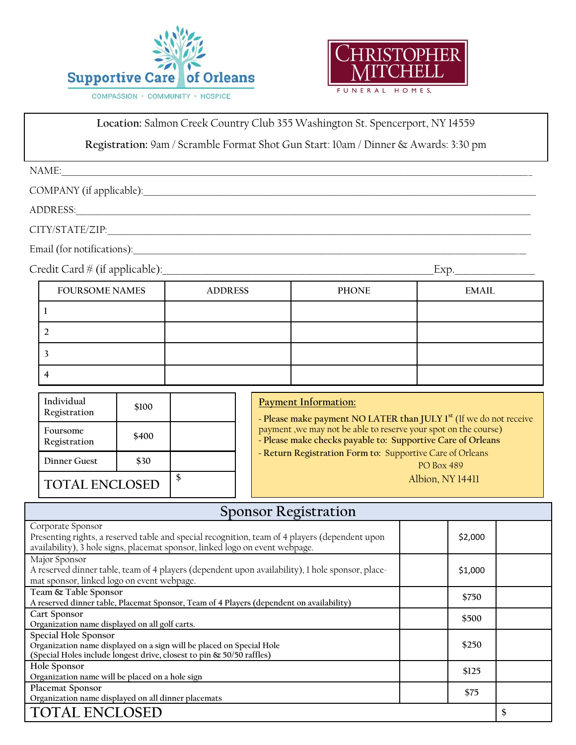



**Location:** Salmon Creek Country Club 355 Washington St. Spencerport, NY 14559

**Registration:** 9am / Scramble Format Shot Gun Start: 10am / Dinner & Awards: 3:30 pm

| NAME:                    |  |
|--------------------------|--|
| COMPANY (if applicable): |  |
| ADDRESS:                 |  |
| CITY/STATE/ZIP:          |  |

Email (for notifications):\_\_\_\_\_\_\_\_\_\_\_\_\_\_\_\_\_\_\_\_\_\_\_\_\_\_\_\_\_\_\_\_\_\_\_\_\_\_\_\_\_\_\_\_\_\_\_\_\_\_\_\_\_\_\_\_\_\_\_\_\_\_\_\_\_\_\_\_\_\_\_\_\_\_\_\_\_\_\_\_\_\_\_\_\_\_\_\_\_\_\_\_\_\_\_\_\_\_\_\_\_

Credit Card # (if applicable):\_\_\_\_\_\_\_\_\_\_\_\_\_\_\_\_\_\_\_\_\_\_\_\_\_\_\_\_\_\_\_\_\_\_\_\_\_\_\_\_\_\_\_\_\_\_\_\_\_\_\_\_\_\_\_\_\_\_\_\_\_\_\_\_Exp.\_\_\_\_\_\_\_\_\_\_\_\_\_\_\_\_\_\_\_

| <b>FOURSOME NAMES</b> | <b>ADDRESS</b> | <b>PHONE</b> | <b>EMAIL</b> |  |  |
|-----------------------|----------------|--------------|--------------|--|--|
|                       |                |              |              |  |  |
|                       |                |              |              |  |  |
|                       |                |              |              |  |  |
|                       |                |              |              |  |  |

| Individual<br>Registration | \$100 |                  | <b>Payment Information:</b><br>- Please make payment NO LATER than JULY 1 <sup>st</sup> (If we do not receive                  |
|----------------------------|-------|------------------|--------------------------------------------------------------------------------------------------------------------------------|
| Foursome<br>Registration   | \$400 |                  | payment, we may not be able to reserve your spot on the course)<br>- Please make checks payable to: Supportive Care of Orleans |
| Dinner Guest               | \$30  |                  | - Return Registration Form to: Supportive Care of Orleans<br><b>PO Box 489</b>                                                 |
| <b>TOTAL ENCLOSED</b>      |       | Albion, NY 14411 |                                                                                                                                |

| <b>Sponsor Registration</b>                                                                                                                                                                         |         |  |  |  |  |  |  |
|-----------------------------------------------------------------------------------------------------------------------------------------------------------------------------------------------------|---------|--|--|--|--|--|--|
| Corporate Sponsor<br>Presenting rights, a reserved table and special recognition, team of 4 players (dependent upon<br>availability), 3 hole signs, placemat sponsor, linked logo on event webpage. | \$2,000 |  |  |  |  |  |  |
| Major Sponsor<br>A reserved dinner table, team of 4 players (dependent upon availability), 1 hole sponsor, place-<br>mat sponsor, linked logo on event webpage.                                     | \$1,000 |  |  |  |  |  |  |
| Team & Table Sponsor<br>A reserved dinner table, Placemat Sponsor, Team of 4 Players (dependent on availability)                                                                                    | \$750   |  |  |  |  |  |  |
| Cart Sponsor<br>Organization name displayed on all golf carts.                                                                                                                                      | \$500   |  |  |  |  |  |  |
| Special Hole Sponsor<br>Organization name displayed on a sign will be placed on Special Hole<br>(Special Holes include longest drive, closest to pin & 50/50 raffles)                               | \$250   |  |  |  |  |  |  |
| Hole Sponsor<br>Organization name will be placed on a hole sign                                                                                                                                     | \$125   |  |  |  |  |  |  |
| Placemat Sponsor<br>Organization name displayed on all dinner placemats                                                                                                                             | \$75    |  |  |  |  |  |  |
| <b>TOTAL ENCLOSED</b>                                                                                                                                                                               |         |  |  |  |  |  |  |